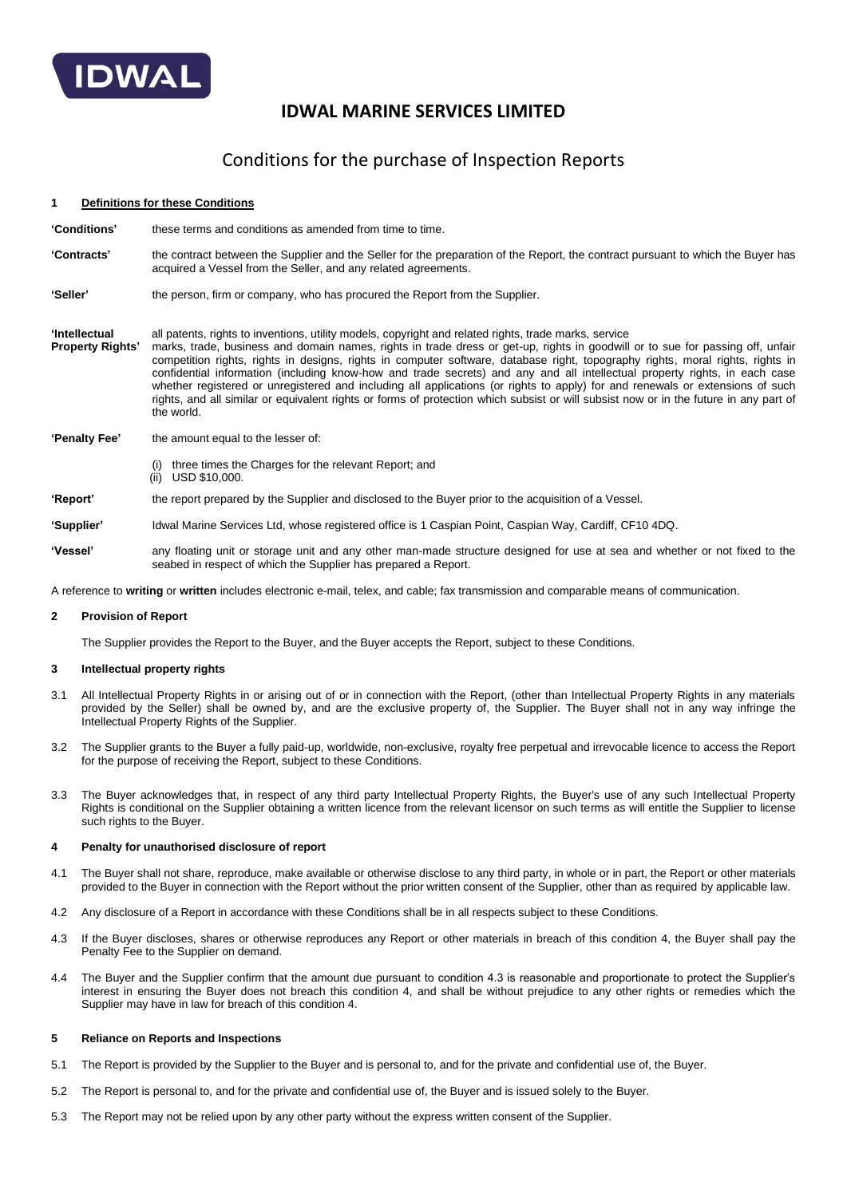

# **IDWAL MARINE SERVICES LIMITED**

# Conditions for the purchase of Inspection Reports

### **1 Definitions for these Conditions**

| <b>'Conditions'</b> | these terms and conditions as amended from time to time. |
|---------------------|----------------------------------------------------------|
|---------------------|----------------------------------------------------------|

- **'Contracts'** the contract between the Supplier and the Seller for the preparation of the Report, the contract pursuant to which the Buyer has acquired a Vessel from the Seller, and any related agreements.
- **'Seller'** the person, firm or company, who has procured the Report from the Supplier.
- **'Intellectual** all patents, rights to inventions, utility models, copyright and related rights, trade marks, service<br>**Property Rights'** marks, trade, business and domain names, rights in trade dress or get-up, rights in g **Property Rights'** marks, trade, business and domain names, rights in trade dress or get-up, rights in goodwill or to sue for passing off, unfair competition rights, rights in designs, rights in computer software, database right, topography rights, moral rights, rights in confidential information (including know-how and trade secrets) and any and all intellectual property rights, in each case whether registered or unregistered and including all applications (or rights to apply) for and renewals or extensions of such rights, and all similar or equivalent rights or forms of protection which subsist or will subsist now or in the future in any part of the world.
- **'Penalty Fee'** the amount equal to the lesser of:
	- three times the Charges for the relevant Report; and
	- USD \$10,000.
- **'Report'** the report prepared by the Supplier and disclosed to the Buyer prior to the acquisition of a Vessel.

### **'Supplier'** Idwal Marine Services Ltd, whose registered office is 1 Caspian Point, Caspian Way, Cardiff, CF10 4DQ.

**'Vessel'** any floating unit or storage unit and any other man-made structure designed for use at sea and whether or not fixed to the seabed in respect of which the Supplier has prepared a Report.

A reference to **writing** or **written** includes electronic e-mail, telex, and cable; fax transmission and comparable means of communication.

### **2 Provision of Report**

The Supplier provides the Report to the Buyer, and the Buyer accepts the Report, subject to these Conditions.

### **3 Intellectual property rights**

- 3.1 All Intellectual Property Rights in or arising out of or in connection with the Report, (other than Intellectual Property Rights in any materials provided by the Seller) shall be owned by, and are the exclusive property of, the Supplier. The Buyer shall not in any way infringe the Intellectual Property Rights of the Supplier.
- 3.2 The Supplier grants to the Buyer a fully paid-up, worldwide, non-exclusive, royalty free perpetual and irrevocable licence to access the Report for the purpose of receiving the Report, subject to these Conditions.
- 3.3 The Buyer acknowledges that, in respect of any third party Intellectual Property Rights, the Buyer's use of any such Intellectual Property Rights is conditional on the Supplier obtaining a written licence from the relevant licensor on such terms as will entitle the Supplier to license such rights to the Buyer.

#### **4 Penalty for unauthorised disclosure of report**

- 4.1 The Buyer shall not share, reproduce, make available or otherwise disclose to any third party, in whole or in part, the Report or other materials provided to the Buyer in connection with the Report without the prior written consent of the Supplier, other than as required by applicable law.
- 4.2 Any disclosure of a Report in accordance with these Conditions shall be in all respects subject to these Conditions.
- 4.3 If the Buyer discloses, shares or otherwise reproduces any Report or other materials in breach of this condition 4, the Buyer shall pay the Penalty Fee to the Supplier on demand.
- 4.4 The Buyer and the Supplier confirm that the amount due pursuant to condition 4.3 is reasonable and proportionate to protect the Supplier's interest in ensuring the Buyer does not breach this condition 4, and shall be without prejudice to any other rights or remedies which the Supplier may have in law for breach of this condition 4.

## **5 Reliance on Reports and Inspections**

- 5.1 The Report is provided by the Supplier to the Buyer and is personal to, and for the private and confidential use of, the Buyer.
- 5.2 The Report is personal to, and for the private and confidential use of, the Buyer and is issued solely to the Buyer.
- 5.3 The Report may not be relied upon by any other party without the express written consent of the Supplier.